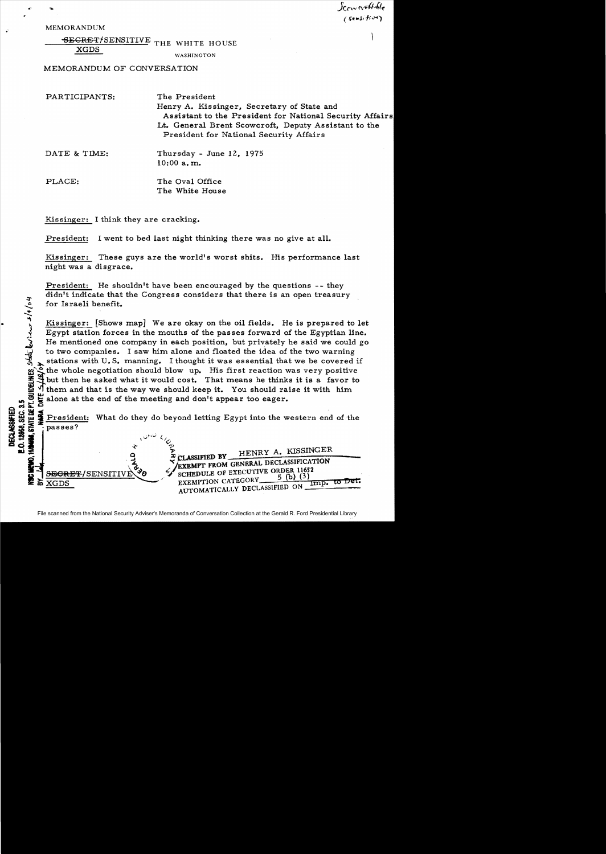. MEMORANDUM

14/04

SECRET/SENSITIVE THE WHITE HOUSE

XGDS

WASHINGTON

MEMORANDUM OF CONVERSATION

| PARTICIPANTS: | The President<br>Henry A. Kissinger, Secretary of State and<br>Assistant to the President for National Security Affairs<br>Lt. General Brent Scowcroft, Deputy Assistant to the<br>President for National Security Affairs |
|---------------|----------------------------------------------------------------------------------------------------------------------------------------------------------------------------------------------------------------------------|
| DATE & TIME:  | Thursday - June 12, 1975<br>$10:00$ a.m.                                                                                                                                                                                   |
| PLACE:        | The Oval Office                                                                                                                                                                                                            |

J(.tvv *n...*It.,f(~  $(s$ ensi $f \circ \gamma$ 

Kissinger: I think they are cracking.

President: I went to bed last night thinking there was no give at all.

The White House

Kissinger: These guys are the world's worst shits. His performance last night was a disgrace.

President: He shouldn't have been encouraged by the questions -- they didn't indicate that the Congress considers that there is an open treasury for Israeli benefit.

Kissinger: [Shows map] We are okay on the oil fields. He is prepared to let Egypt station forces in the mouths of the passes forward of the Egyptian line. He mentioned one company in each position, but privately he said we could go to two companies. I saw him alone and floated the idea of the two warning stations with U.S. manning. I thought it was essential that we be covered if the whole negotiation should blow up. His first reaction was very positive but then he asked what it would cost. That means he thinks it is a favor to them and that is the way we should keep it. You should raise it with him 8 36)

 $\begin{array}{l}\n\mathbf{5} \\
\mathbf{6} \\
\mathbf{7} \\
\mathbf{8} \\
\mathbf{9} \\
\mathbf{10} \\
\mathbf{11} \\
\mathbf{12} \\
\mathbf{13} \\
\mathbf{14} \\
\mathbf{12} \\
\mathbf{13} \\
\mathbf{14} \\
\mathbf{15} \\
\mathbf{16} \\
\mathbf{13} \\
\mathbf{15} \\
\mathbf{16} \\
\mathbf{13} \\
\mathbf{14} \\
\mathbf{15} \\
\mathbf{16} \\
\mathbf{17} \\
\mathbf{18} \\
\mathbf{18} \\
\mathbf{18} \\
\mathbf{19} \\
\$ President: What do they do beyond letting Egypt into the western end of the passes?



File scanned from the National Security Adviser's Memoranda of Conversation Collection at the Gerald R. Ford Presidential Library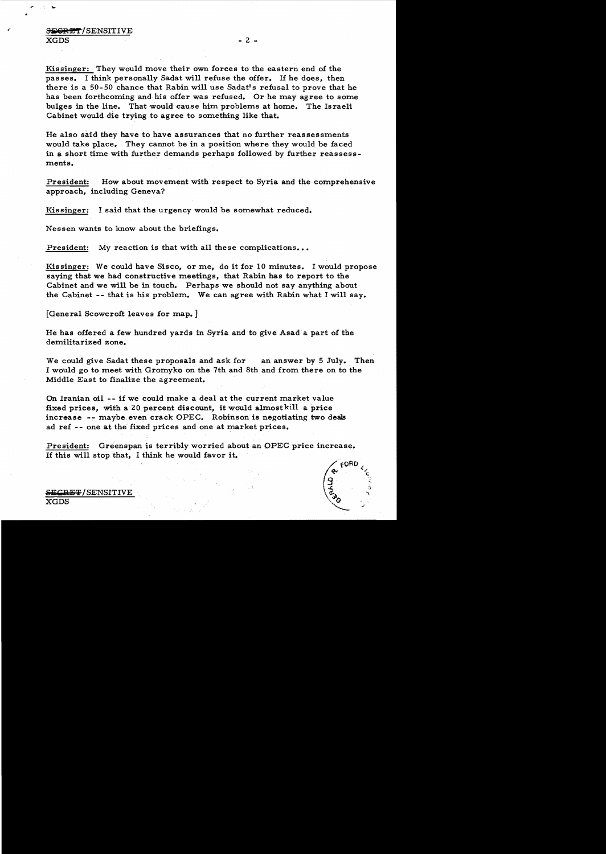Kissinger: They would move their own forces to the eastern end of the passes. I think personally Sadat will refuse the offer. If he does, then there is a 50-50 chance that Rabin will use Sadat's refusal to prove that he has been forthcoming and hie offer was refused. Or he may agree to some bulges in the line. That would cause him problems at home. The Israeli Cabinet would die trying to agree to something like that.

He also said they have to have assurances that no further reassessments would take place. They cannot be in a position where they would be faced in a short time with further demands perhaps followed by further reassessments.

President: How about movement with respect to Syria and the comprehensive approach, including Geneva?

Kissinger: I said that the urgency would be somewhat reduced.

Nessen wants to know about the briefings.

President: My reaction is that with all these complications...

Kissinger: We could have Sisco, or me, do it for 10 minutes. I would propose saying that we had constructive meetings, that Rabin has to report to the Cabinet and we will be in touch. Perhaps we should not say anything about the Cabinet -- that is his problem. We can agree with Rabin what I will say.

[General Scowcroft leaves for map. ]

He has offered a few hundred yards in Syria and to give Asad a part of the demilitarized zone.

We could give Sadat these proposals and ask for an answer by 5 July. Then I would go to meet with Gromyko on the 7th and 8th and from there on to the Middle East to finalize the agreement.

On Iranian oil - - if we could make a deal at the current market value fixed prices, with a 20 percent discount, it would almost kill a price increase -- maybe even crack OPEC. Robinson is negotiating two deals ad ref -- one at the fixed prices and one at market prices.

President: Greenspan is terribly worried about an OPEC price increase. If this will stop that, I think he would favor it.



 $\pm$ 7 / SENSITIVE  $\rm XGDS$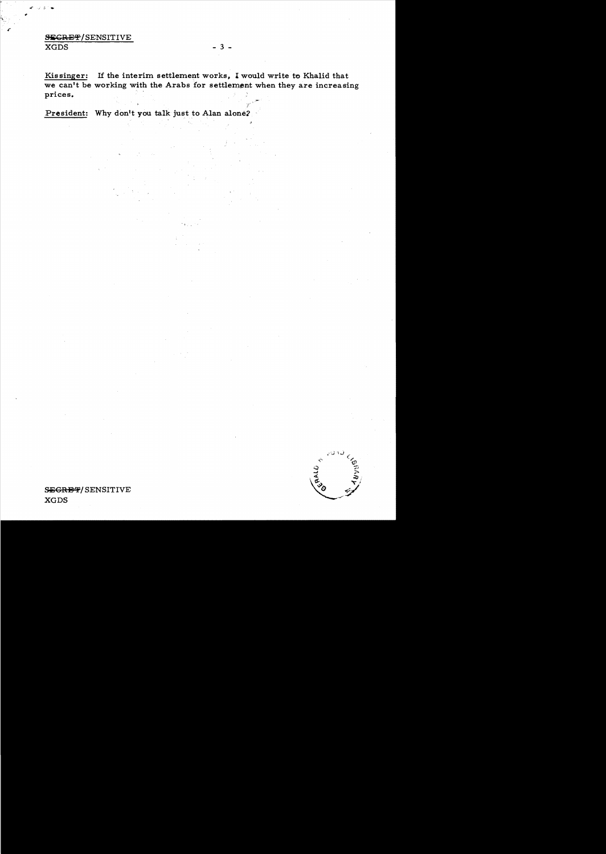## **SECRET/SENSITIVE**  $\overline{\text{XGDS}}$

Kissinger: If the interim settlement works, I would write to Khalid that we can't be working with the Arabs for settlement when they are increasing prices.

President: Why don't you talk just to Alan alone?

CRALD

 $-3-$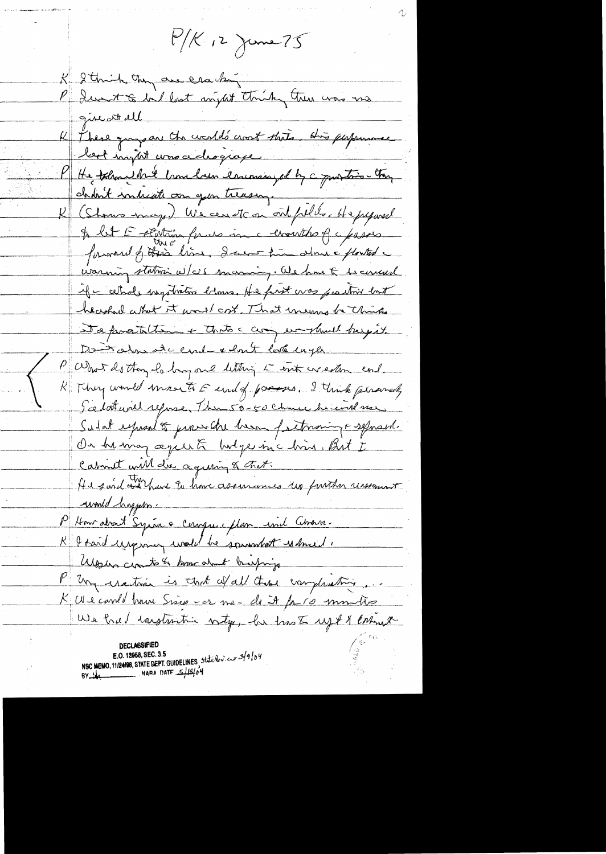$P/K_{12}$  june 75 K 2 think they are can by P du t lait suisset tuik true vas me These grays are the world's crost state. His performance  $\mathcal{K}_{+}$ best import was adrogrape P He thought have comed in encouraged by a quartier they chant intreste an you treasure K (Shows may) We can etc on out fills. He peposed A let E sentima fuero in a comunito of a passers forward of this line, I was him about a flowted varing station w/c/s successing. We have & becaused if - cethole ingotration blows. He first was partired bout heashed what it would cost. That inevers be thinks Deproitetent thats carry everybuilt beyont. Dont alone de conde celont lote inger. P What de though hay one letter is with weather end. R Thy world movet E end of passes. I trink personally Scelat will refuse, Them 50-50 Chance hi und no Salat express to prove the hear factoraing a separad. On himan againt bulge incluir But I Cabinet will die againing & that. He said out have to have assurances up further unserent unile hypes. P Am about Syria e compre plan und absorm-K & taid usepony wald be sounded wheed. Washing circuits to home about breefings P Un cratina is that wall those complexations K Us carried hours Since car me - de it for 10 mm tres We had instruction with, be trook up & & entrant **DECLASSIFIE** NSC MEMO, 11/24/98, STATE DEPT. GUIDELINES, State lev. euro 2/9/04 BY the NARA DATE 5/18/04